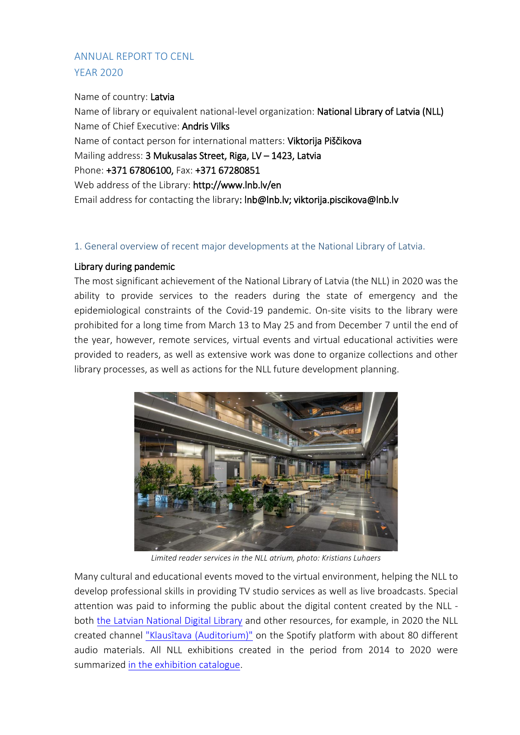# ANNUAL REPORT TO CENL YEAR 2020

### Name of country: Latvia

Name of library or equivalent national-level organization: National Library of Latvia (NLL) Name of Chief Executive: Andris Vilks Name of contact person for international matters: Viktorija Piščikova Mailing address: 3 Mukusalas Street, Riga, LV – 1423, Latvia Phone: +371 67806100, Fax: +371 67280851 Web address of the Library: http://www.lnb.lv/en Email address for contacting the library: lnb@lnb.lv; viktorija.piscikova@lnb.lv

### 1. General overview of recent major developments at the National Library of Latvia.

## Library during pandemic

The most significant achievement of the National Library of Latvia (the NLL) in 2020 was the ability to provide services to the readers during the state of emergency and the epidemiological constraints of the Covid-19 pandemic. On-site visits to the library were prohibited for a long time from March 13 to May 25 and from December 7 until the end of the year, however, remote services, virtual events and virtual educational activities were provided to readers, as well as extensive work was done to organize collections and other library processes, as well as actions for the NLL future development planning.



*Limited reader services in the NLL atrium, photo: Kristians Luhaers*

Many cultural and educational events moved to the virtual environment, helping the NLL to develop professional skills in providing TV studio services as well as live broadcasts. Special attention was paid to informing the public about the digital content created by the NLL both [the Latvian National Digital Library](https://www.lndb.lv/) and other resources, for example, in 2020 the NLL created channel ["Klausītava \(Auditorium\)"](https://open.spotify.com/show/0NM33nUrAV4GVUAKP45pvl) on the Spotify platform with about 80 different audio materials. All NLL exhibitions created in the period from 2014 to 2020 were summarized [in the exhibition catalogue.](https://dom.lndb.lv/data/obj/file/29306343.pdf)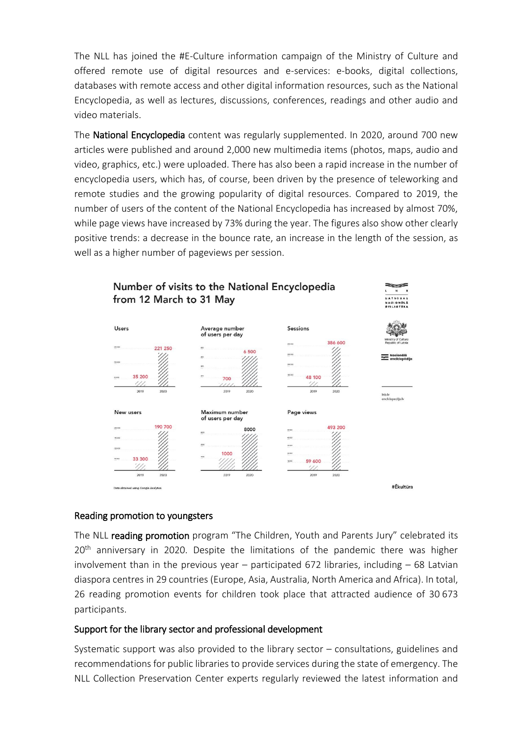The NLL has joined the #E-Culture information campaign of the Ministry of Culture and offered remote use of digital resources and e-services: e-books, digital collections, databases with remote access and other digital information resources, such as the National Encyclopedia, as well as lectures, discussions, conferences, readings and other audio and video materials.

The National Encyclopedia content was regularly supplemented. In 2020, around 700 new articles were published and around 2,000 new multimedia items (photos, maps, audio and video, graphics, etc.) were uploaded. There has also been a rapid increase in the number of encyclopedia users, which has, of course, been driven by the presence of teleworking and remote studies and the growing popularity of digital resources. Compared to 2019, the number of users of the content of the National Encyclopedia has increased by almost 70%, while page views have increased by 73% during the year. The figures also show other clearly positive trends: a decrease in the bounce rate, an increase in the length of the session, as well as a higher number of pageviews per session.



### Reading promotion to youngsters

The NLL reading promotion program "The Children, Youth and Parents Jury" celebrated its  $20<sup>th</sup>$  anniversary in 2020. Despite the limitations of the pandemic there was higher involvement than in the previous year – participated 672 libraries, including – 68 Latvian diaspora centres in 29 countries (Europe, Asia, Australia, North America and Africa). In total, 26 reading promotion events for children took place that attracted audience of 30 673 participants.

### Support for the library sector and professional development

Systematic support was also provided to the library sector – consultations, guidelines and recommendations for public libraries to provide services during the state of emergency. The NLL Collection Preservation Center experts regularly reviewed the latest information and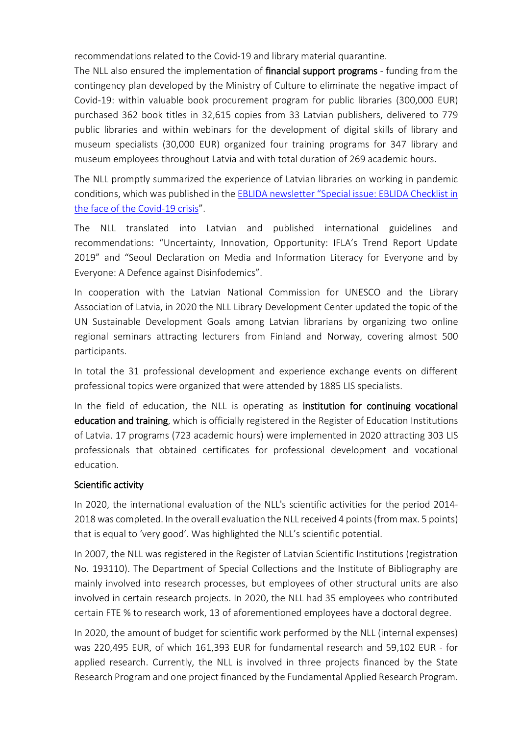recommendations related to the Covid-19 and library material quarantine.

The NLL also ensured the implementation of financial support programs - funding from the contingency plan developed by the Ministry of Culture to eliminate the negative impact of Covid-19: within valuable book procurement program for public libraries (300,000 EUR) purchased 362 book titles in 32,615 copies from 33 Latvian publishers, delivered to 779 public libraries and within webinars for the development of digital skills of library and museum specialists (30,000 EUR) organized four training programs for 347 library and museum employees throughout Latvia and with total duration of 269 academic hours.

The NLL promptly summarized the experience of Latvian libraries on working in pandemic conditions, which was published in the EBLIDA newsletter "[Special issue: EBLIDA Checklist in](http://www.eblida.org/Newsletter%20folder%20(uploaded%20files)/Newsletter-2020/EBLIDA-Newsletter-Special-issue_part-4.pdf)  [the face of the Covid-19 crisis](http://www.eblida.org/Newsletter%20folder%20(uploaded%20files)/Newsletter-2020/EBLIDA-Newsletter-Special-issue_part-4.pdf)".

The NLL translated into Latvian and published international guidelines and recommendations: "Uncertainty, Innovation, Opportunity: IFLA's Trend Report Update 2019" and "Seoul Declaration on Media and Information Literacy for Everyone and by Everyone: A Defence against Disinfodemics".

In cooperation with the Latvian National Commission for UNESCO and the Library Association of Latvia, in 2020 the NLL Library Development Center updated the topic of the UN Sustainable Development Goals among Latvian librarians by organizing two online regional seminars attracting lecturers from Finland and Norway, covering almost 500 participants.

In total the 31 professional development and experience exchange events on different professional topics were organized that were attended by 1885 LIS specialists.

In the field of education, the NLL is operating as institution for continuing vocational education and training, which is officially registered in the Register of Education Institutions of Latvia. 17 programs (723 academic hours) were implemented in 2020 attracting 303 LIS professionals that obtained certificates for professional development and vocational education.

#### Scientific activity

In 2020, the international evaluation of the NLL's scientific activities for the period 2014- 2018 was completed. In the overall evaluation the NLL received 4 points(from max. 5 points) that is equal to 'very good'. Was highlighted the NLL's scientific potential.

In 2007, the NLL was registered in the Register of Latvian Scientific Institutions (registration No. 193110). The Department of Special Collections and the Institute of Bibliography are mainly involved into research processes, but employees of other structural units are also involved in certain research projects. In 2020, the NLL had 35 employees who contributed certain FTE % to research work, 13 of aforementioned employees have a doctoral degree.

In 2020, the amount of budget for scientific work performed by the NLL (internal expenses) was 220,495 EUR, of which 161,393 EUR for fundamental research and 59,102 EUR - for applied research. Currently, the NLL is involved in three projects financed by the State Research Program and one project financed by the Fundamental Applied Research Program.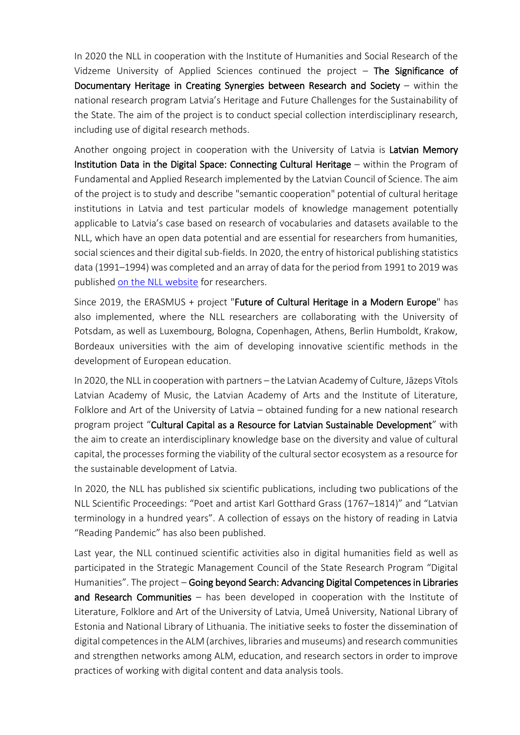In 2020 the NLL in cooperation with the Institute of Humanities and Social Research of the Vidzeme University of Applied Sciences continued the project  $-$  The Significance of Documentary Heritage in Creating Synergies between Research and Society – within the national research program Latvia's Heritage and Future Challenges for the Sustainability of the State. The aim of the project is to conduct special collection interdisciplinary research, including use of digital research methods.

Another ongoing project in cooperation with the University of Latvia is Latvian Memory Institution Data in the Digital Space: Connecting Cultural Heritage – within the Program of Fundamental and Applied Research implemented by the Latvian Council of Science. The aim of the project is to study and describe "semantic cooperation" potential of cultural heritage institutions in Latvia and test particular models of knowledge management potentially applicable to Latvia's case based on research of vocabularies and datasets available to the NLL, which have an open data potential and are essential for researchers from humanities, social sciences and their digital sub-fields. In 2020, the entry of historical publishing statistics data (1991–1994) was completed and an array of data for the period from 1991 to 2019 was published [on the NLL website](https://lnb.lv/lv/izdevejdarbibas-statistika/datu-masivs-petniecibai-par-izdevejdarbibu-latvija) for researchers.

Since 2019, the ERASMUS + project "Future of Cultural Heritage in a Modern Europe" has also implemented, where the NLL researchers are collaborating with the University of Potsdam, as well as Luxembourg, Bologna, Copenhagen, Athens, Berlin Humboldt, Krakow, Bordeaux universities with the aim of developing innovative scientific methods in the development of European education.

In 2020, the NLL in cooperation with partners – the Latvian Academy of Culture, Jāzeps Vītols Latvian Academy of Music, the Latvian Academy of Arts and the Institute of Literature, Folklore and Art of the University of Latvia – obtained funding for a new national research program project "Cultural Capital as a Resource for Latvian Sustainable Development" with the aim to create an interdisciplinary knowledge base on the diversity and value of cultural capital, the processes forming the viability of the cultural sector ecosystem as a resource for the sustainable development of Latvia.

In 2020, the NLL has published six scientific publications, including two publications of the NLL Scientific Proceedings: "Poet and artist Karl Gotthard Grass (1767–1814)" and "Latvian terminology in a hundred years". A collection of essays on the history of reading in Latvia "Reading Pandemic" has also been published.

Last year, the NLL continued scientific activities also in digital humanities field as well as participated in the Strategic Management Council of the State Research Program "Digital Humanities". The project - Going beyond Search: Advancing Digital Competences in Libraries and Research Communities – has been developed in cooperation with the Institute of Literature, Folklore and Art of the University of Latvia, Umeå University, National Library of Estonia and National Library of Lithuania. The initiative seeks to foster the dissemination of digital competences in the ALM (archives, libraries and museums) and research communities and strengthen networks among ALM, education, and research sectors in order to improve practices of working with digital content and data analysis tools.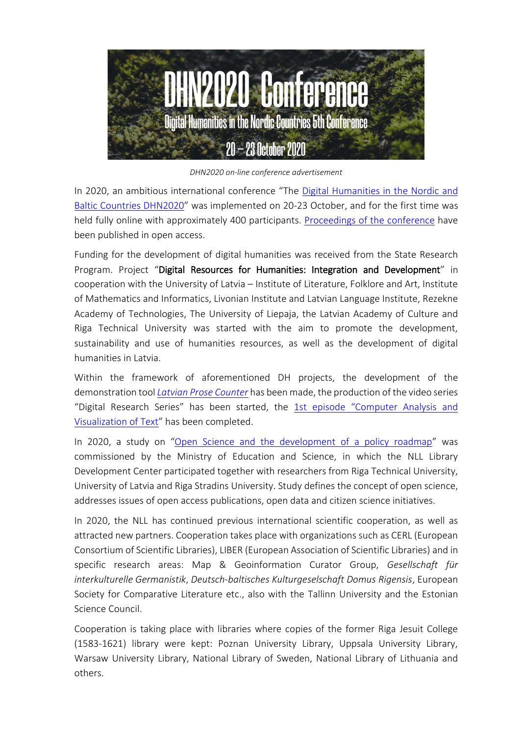

*DHN2020 on-line conference advertisement*

In 2020, an ambitious international conference "The [Digital Humanities in the Nordic and](http://dhnb.eu/past-conferences/dhn2020/)  [Baltic Countries DHN2020](http://dhnb.eu/past-conferences/dhn2020/)" was implemented on 20-23 October, and for the first time was held fully online with approximately 400 participants. [Proceedings of the conference](http://ceur-ws.org/Vol-2612/) have been published in open access.

Funding for the development of digital humanities was received from the State Research Program. Project "Digital Resources for Humanities: Integration and Development" in cooperation with the University of Latvia – Institute of Literature, Folklore and Art, Institute of Mathematics and Informatics, Livonian Institute and Latvian Language Institute, Rezekne Academy of Technologies, The University of Liepaja, the Latvian Academy of Culture and Riga Technical University was started with the aim to promote the development, sustainability and use of humanities resources, as well as the development of digital humanities in Latvia.

Within the framework of aforementioned DH projects, the development of the demonstration tool *[Latvian Prose Counter](https://proza.lnb.lv/skaititajs/index-en.html)* has been made, the production of the video series "Digital Research Series" has been started, the 1st episode "Computer Analysis and [Visualization of Text](https://www.youtube.com/watch?v=ldgrz1uSeDQ&ab_channel=LatvijasNacion%C4%81l%C4%81bibliot%C4%93ka)" has been completed.

In 2020, a study on "[Open Science and the development of a policy roadmap](https://www.izm.gov.lv/lv/jaunums/publicets-petijums-par-atverto-zinatni)" was commissioned by the Ministry of Education and Science, in which the NLL Library Development Center participated together with researchers from Riga Technical University, University of Latvia and Riga Stradins University. Study defines the concept of open science, addresses issues of open access publications, open data and citizen science initiatives.

In 2020, the NLL has continued previous international scientific cooperation, as well as attracted new partners. Cooperation takes place with organizations such as CERL (European Consortium of Scientific Libraries), LIBER (European Association of Scientific Libraries) and in specific research areas: Map & Geoinformation Curator Group, *Gesellschaft für interkulturelle Germanistik*, *Deutsch-baltisches Kulturgeselschaft Domus Rigensis*, European Society for Comparative Literature etc., also with the Tallinn University and the Estonian Science Council.

Cooperation is taking place with libraries where copies of the former Riga Jesuit College (1583-1621) library were kept: Poznan University Library, Uppsala University Library, Warsaw University Library, National Library of Sweden, National Library of Lithuania and others.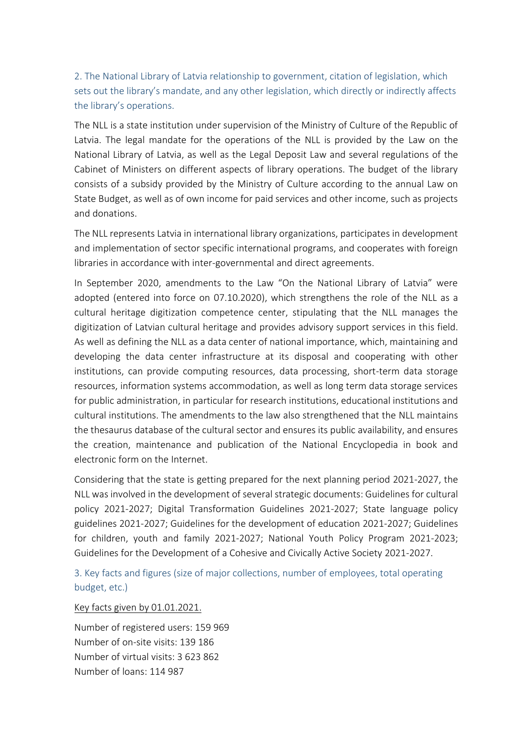2. The National Library of Latvia relationship to government, citation of legislation, which sets out the library's mandate, and any other legislation, which directly or indirectly affects the library's operations.

The NLL is a state institution under supervision of the Ministry of Culture of the Republic of Latvia. The legal mandate for the operations of the NLL is provided by the Law on the National Library of Latvia, as well as the Legal Deposit Law and several regulations of the Cabinet of Ministers on different aspects of library operations. The budget of the library consists of a subsidy provided by the Ministry of Culture according to the annual Law on State Budget, as well as of own income for paid services and other income, such as projects and donations.

The NLL represents Latvia in international library organizations, participates in development and implementation of sector specific international programs, and cooperates with foreign libraries in accordance with inter-governmental and direct agreements.

In September 2020, amendments to the Law "On the National Library of Latvia" were adopted (entered into force on 07.10.2020), which strengthens the role of the NLL as a cultural heritage digitization competence center, stipulating that the NLL manages the digitization of Latvian cultural heritage and provides advisory support services in this field. As well as defining the NLL as a data center of national importance, which, maintaining and developing the data center infrastructure at its disposal and cooperating with other institutions, can provide computing resources, data processing, short-term data storage resources, information systems accommodation, as well as long term data storage services for public administration, in particular for research institutions, educational institutions and cultural institutions. The amendments to the law also strengthened that the NLL maintains the thesaurus database of the cultural sector and ensures its public availability, and ensures the creation, maintenance and publication of the National Encyclopedia in book and electronic form on the Internet.

Considering that the state is getting prepared for the next planning period 2021-2027, the NLL was involved in the development of several strategic documents: Guidelines for cultural policy 2021-2027; Digital Transformation Guidelines 2021-2027; State language policy guidelines 2021-2027; Guidelines for the development of education 2021-2027; Guidelines for children, youth and family 2021-2027; National Youth Policy Program 2021-2023; Guidelines for the Development of a Cohesive and Civically Active Society 2021-2027.

3. Key facts and figures (size of major collections, number of employees, total operating budget, etc.)

#### Key facts given by 01.01.2021.

Number of registered users: 159 969 Number of on-site visits: 139 186 Number of virtual visits: 3 623 862 Number of loans: 114 987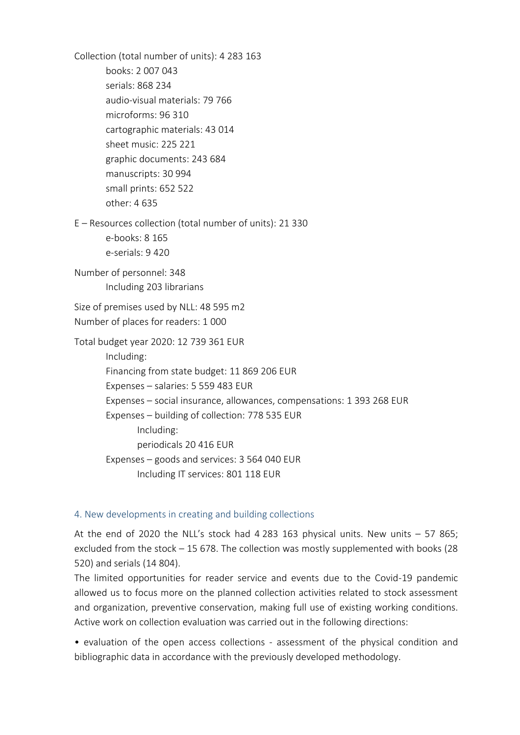Collection (total number of units): 4 283 163 books: 2 007 043 serials: 868 234 audio-visual materials: 79 766 microforms: 96 310 cartographic materials: 43 014 sheet music: 225 221 graphic documents: 243 684 manuscripts: 30 994 small prints: 652 522 other: 4 635 E – Resources collection (total number of units): 21 330 e-books: 8 165 e-serials: 9 420 Number of personnel: 348 Including 203 librarians Size of premises used by NLL: 48 595 m2 Number of places for readers: 1 000 Total budget year 2020: 12 739 361 EUR Including: Financing from state budget: 11 869 206 EUR Expenses – salaries: 5 559 483 EUR Expenses – social insurance, allowances, compensations: 1 393 268 EUR Expenses – building of collection: 778 535 EUR Including: periodicals 20 416 EUR Expenses – goods and services: 3 564 040 EUR Including IT services: 801 118 EUR

#### 4. New developments in creating and building collections

At the end of 2020 the NLL's stock had 4 283 163 physical units. New units  $-57865$ ; excluded from the stock – 15 678. The collection was mostly supplemented with books (28 520) and serials (14 804).

The limited opportunities for reader service and events due to the Covid-19 pandemic allowed us to focus more on the planned collection activities related to stock assessment and organization, preventive conservation, making full use of existing working conditions. Active work on collection evaluation was carried out in the following directions:

• evaluation of the open access collections - assessment of the physical condition and bibliographic data in accordance with the previously developed methodology.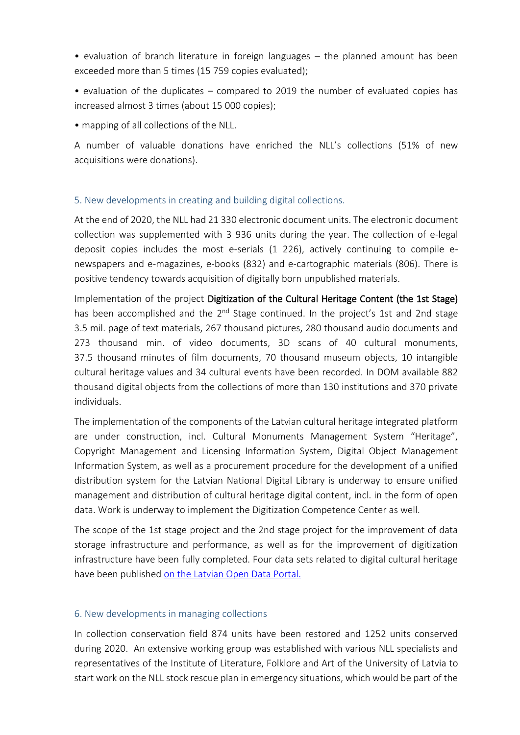• evaluation of branch literature in foreign languages – the planned amount has been exceeded more than 5 times (15 759 copies evaluated);

• evaluation of the duplicates – compared to 2019 the number of evaluated copies has increased almost 3 times (about 15 000 copies);

• mapping of all collections of the NLL.

A number of valuable donations have enriched the NLL's collections (51% of new acquisitions were donations).

### 5. New developments in creating and building digital collections.

At the end of 2020, the NLL had 21 330 electronic document units. The electronic document collection was supplemented with 3 936 units during the year. The collection of e-legal deposit copies includes the most e-serials (1 226), actively continuing to compile enewspapers and e-magazines, e-books (832) and e-cartographic materials (806). There is positive tendency towards acquisition of digitally born unpublished materials.

Implementation of the project Digitization of the Cultural Heritage Content (the 1st Stage) has been accomplished and the 2<sup>nd</sup> Stage continued. In the project's 1st and 2nd stage 3.5 mil. page of text materials, 267 thousand pictures, 280 thousand audio documents and 273 thousand min. of video documents, 3D scans of 40 cultural monuments, 37.5 thousand minutes of film documents, 70 thousand museum objects, 10 intangible cultural heritage values and 34 cultural events have been recorded. In DOM available 882 thousand digital objects from the collections of more than 130 institutions and 370 private individuals.

The implementation of the components of the Latvian cultural heritage integrated platform are under construction, incl. Cultural Monuments Management System "Heritage", Copyright Management and Licensing Information System, Digital Object Management Information System, as well as a procurement procedure for the development of a unified distribution system for the Latvian National Digital Library is underway to ensure unified management and distribution of cultural heritage digital content, incl. in the form of open data. Work is underway to implement the Digitization Competence Center as well.

The scope of the 1st stage project and the 2nd stage project for the improvement of data storage infrastructure and performance, as well as for the improvement of digitization infrastructure have been fully completed. Four data sets related to digital cultural heritage have been published [on the Latvian Open Data Portal.](https://data.gov.lv/dati/eng/dataset?organization=latvijas-nacionala-biblioteka&q=latvijas+nacion%C4%81l%C4%81+bibliot%C4%93ka)

### 6. New developments in managing collections

In collection conservation field 874 units have been restored and 1252 units conserved during 2020. An extensive working group was established with various NLL specialists and representatives of the Institute of Literature, Folklore and Art of the University of Latvia to start work on the NLL stock rescue plan in emergency situations, which would be part of the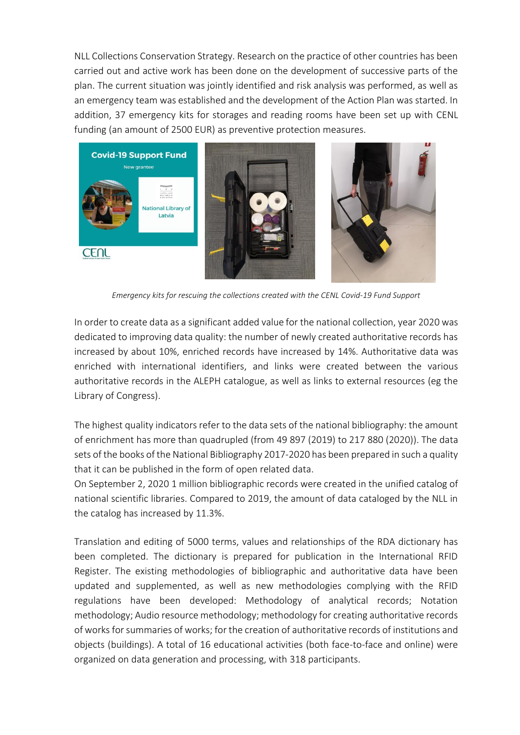NLL Collections Conservation Strategy. Research on the practice of other countries has been carried out and active work has been done on the development of successive parts of the plan. The current situation was jointly identified and risk analysis was performed, as well as an emergency team was established and the development of the Action Plan was started. In addition, 37 emergency kits for storages and reading rooms have been set up with CENL funding (an amount of 2500 EUR) as preventive protection measures.



*Emergency kits for rescuing the collections created with the CENL Covid-19 Fund Support* 

In order to create data as a significant added value for the national collection, year 2020 was dedicated to improving data quality: the number of newly created authoritative records has increased by about 10%, enriched records have increased by 14%. Authoritative data was enriched with international identifiers, and links were created between the various authoritative records in the ALEPH catalogue, as well as links to external resources (eg the Library of Congress).

The highest quality indicators refer to the data sets of the national bibliography: the amount of enrichment has more than quadrupled (from 49 897 (2019) to 217 880 (2020)). The data sets of the books of the National Bibliography 2017-2020 has been prepared in such a quality that it can be published in the form of open related data.

On September 2, 2020 1 million bibliographic records were created in the unified catalog of national scientific libraries. Compared to 2019, the amount of data cataloged by the NLL in the catalog has increased by 11.3%.

Translation and editing of 5000 terms, values and relationships of the RDA dictionary has been completed. The dictionary is prepared for publication in the International RFID Register. The existing methodologies of bibliographic and authoritative data have been updated and supplemented, as well as new methodologies complying with the RFID regulations have been developed: Methodology of analytical records; Notation methodology; Audio resource methodology; methodology for creating authoritative records of works for summaries of works; for the creation of authoritative records of institutions and objects (buildings). A total of 16 educational activities (both face-to-face and online) were organized on data generation and processing, with 318 participants.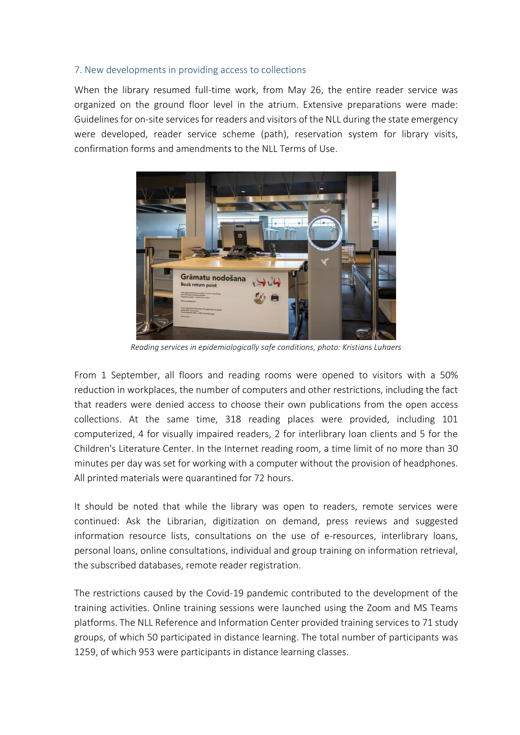### 7. New developments in providing access to collections

When the library resumed full-time work, from May 26, the entire reader service was organized on the ground floor level in the atrium. Extensive preparations were made: Guidelines for on-site services for readers and visitors of the NLL during the state emergency were developed, reader service scheme (path), reservation system for library visits, confirmation forms and amendments to the NLL Terms of Use.



*Reading services in epidemiologically safe conditions, photo: Kristians Luhaers*

From 1 September, all floors and reading rooms were opened to visitors with a 50% reduction in workplaces, the number of computers and other restrictions, including the fact that readers were denied access to choose their own publications from the open access collections. At the same time, 318 reading places were provided, including 101 computerized, 4 for visually impaired readers, 2 for interlibrary loan clients and 5 for the Children's Literature Center. In the Internet reading room, a time limit of no more than 30 minutes per day was set for working with a computer without the provision of headphones. All printed materials were quarantined for 72 hours.

It should be noted that while the library was open to readers, remote services were continued: Ask the Librarian, digitization on demand, press reviews and suggested information resource lists, consultations on the use of e-resources, interlibrary loans, personal loans, online consultations, individual and group training on information retrieval, the subscribed databases, remote reader registration.

The restrictions caused by the Covid-19 pandemic contributed to the development of the training activities. Online training sessions were launched using the Zoom and MS Teams platforms. The NLL Reference and Information Center provided training services to 71 study groups, of which 50 participated in distance learning. The total number of participants was 1259, of which 953 were participants in distance learning classes.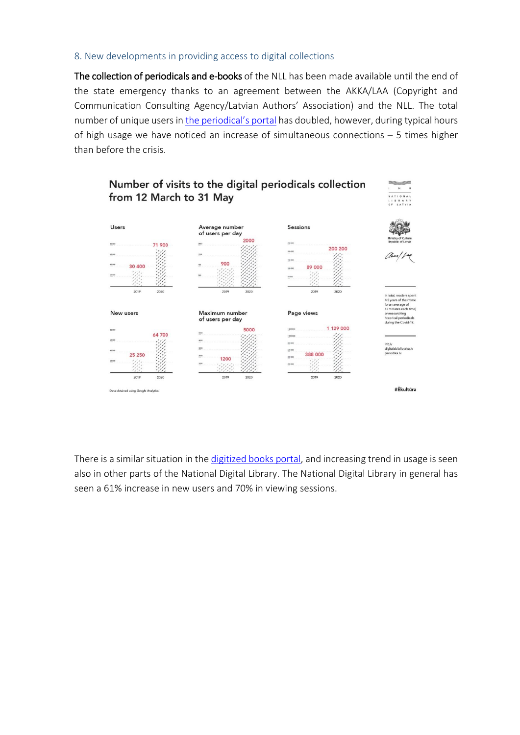#### 8. New developments in providing access to digital collections

The collection of periodicals and e-books of the NLL has been made available until the end of the state emergency thanks to an agreement between the AKKA/LAA (Copyright and Communication Consulting Agency/Latvian Authors' Association) and the NLL. The total number of unique users in the [periodical's](http://www.periodika.lv/) portal has doubled, however, during typical hours of high usage we have noticed an increase of simultaneous connections – 5 times higher than before the crisis.



There is a similar situation in th[e digitized books portal,](http://gramatas.lndb.lv/) and increasing trend in usage is seen also in other parts of the National Digital Library. The National Digital Library in general has seen a 61% increase in new users and 70% in viewing sessions.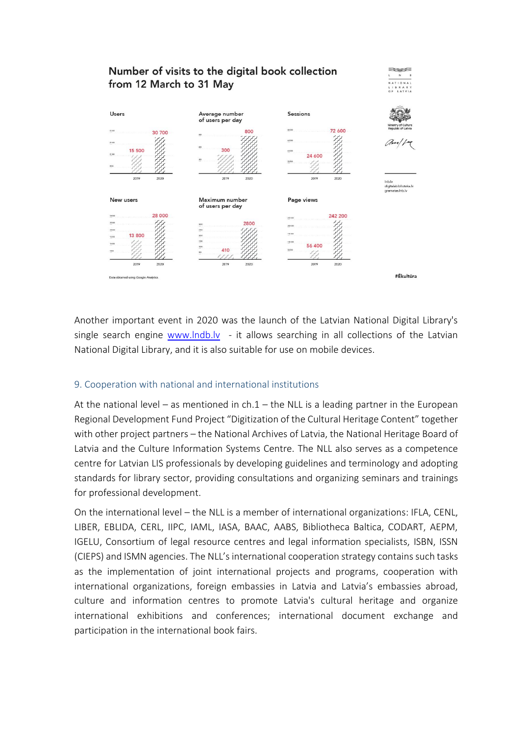## Number of visits to the digital book collection from 12 March to 31 May



Another important event in 2020 was the launch of the Latvian National Digital Library's single search engine [www.lndb.lv](http://www.lndb.lv/) - it allows searching in all collections of the Latvian National Digital Library, and it is also suitable for use on mobile devices.

### 9. Cooperation with national and international institutions

At the national level – as mentioned in  $\text{ch.1}$  – the NLL is a leading partner in the European Regional Development Fund Project "Digitization of the Cultural Heritage Content" together with other project partners – the National Archives of Latvia, the National Heritage Board of Latvia and the Culture Information Systems Centre. The NLL also serves as a competence centre for Latvian LIS professionals by developing guidelines and terminology and adopting standards for library sector, providing consultations and organizing seminars and trainings for professional development.

On the international level – the NLL is a member of international organizations: IFLA, CENL, LIBER, EBLIDA, CERL, IIPC, IAML, IASA, BAAC, AABS, Bibliotheca Baltica, CODART, AEPM, IGELU, Consortium of legal resource centres and legal information specialists, ISBN, ISSN (CIEPS) and ISMN agencies. The NLL's international cooperation strategy contains such tasks as the implementation of joint international projects and programs, cooperation with international organizations, foreign embassies in Latvia and Latvia's embassies abroad, culture and information centres to promote Latvia's cultural heritage and organize international exhibitions and conferences; international document exchange and participation in the international book fairs.